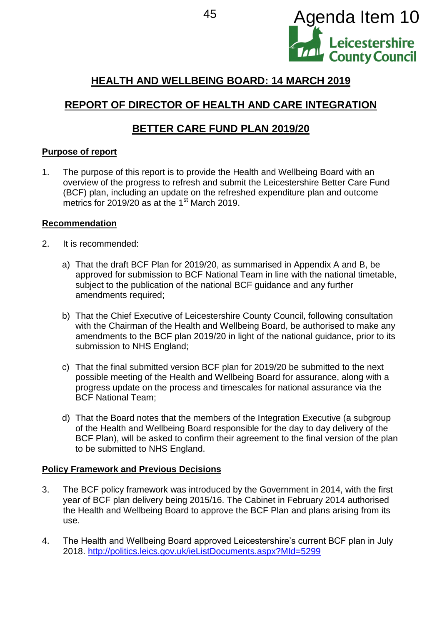

# **HEALTH AND WELLBEING BOARD: 14 MARCH 2019**

# **REPORT OF DIRECTOR OF HEALTH AND CARE INTEGRATION**

## **BETTER CARE FUND PLAN 2019/20**

### **Purpose of report**

1. The purpose of this report is to provide the Health and Wellbeing Board with an overview of the progress to refresh and submit the Leicestershire Better Care Fund (BCF) plan, including an update on the refreshed expenditure plan and outcome metrics for 2019/20 as at the  $1<sup>st</sup>$  March 2019.

### **Recommendation**

- 2. It is recommended:
	- a) That the draft BCF Plan for 2019/20, as summarised in Appendix A and B, be approved for submission to BCF National Team in line with the national timetable, subject to the publication of the national BCF guidance and any further amendments required;
	- b) That the Chief Executive of Leicestershire County Council, following consultation with the Chairman of the Health and Wellbeing Board, be authorised to make any amendments to the BCF plan 2019/20 in light of the national guidance, prior to its submission to NHS England;
	- c) That the final submitted version BCF plan for 2019/20 be submitted to the next possible meeting of the Health and Wellbeing Board for assurance, along with a progress update on the process and timescales for national assurance via the BCF National Team;
	- d) That the Board notes that the members of the Integration Executive (a subgroup of the Health and Wellbeing Board responsible for the day to day delivery of the BCF Plan), will be asked to confirm their agreement to the final version of the plan to be submitted to NHS England.

### **Policy Framework and Previous Decisions**

- 3. The BCF policy framework was introduced by the Government in 2014, with the first year of BCF plan delivery being 2015/16. The Cabinet in February 2014 authorised the Health and Wellbeing Board to approve the BCF Plan and plans arising from its use.
- 4. The Health and Wellbeing Board approved Leicestershire's current BCF plan in July 2018. <http://politics.leics.gov.uk/ieListDocuments.aspx?MId=5299>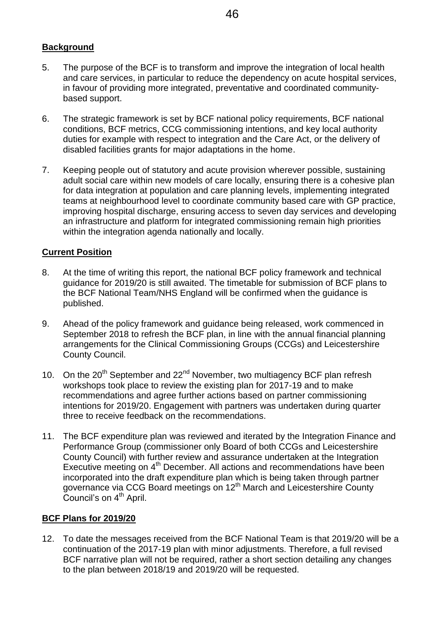## **Background**

- 5. The purpose of the BCF is to transform and improve the integration of local health and care services, in particular to reduce the dependency on acute hospital services, in favour of providing more integrated, preventative and coordinated communitybased support.
- 6. The strategic framework is set by BCF national policy requirements, BCF national conditions, BCF metrics, CCG commissioning intentions, and key local authority duties for example with respect to integration and the Care Act, or the delivery of disabled facilities grants for major adaptations in the home.
- 7. Keeping people out of statutory and acute provision wherever possible, sustaining adult social care within new models of care locally, ensuring there is a cohesive plan for data integration at population and care planning levels, implementing integrated teams at neighbourhood level to coordinate community based care with GP practice, improving hospital discharge, ensuring access to seven day services and developing an infrastructure and platform for integrated commissioning remain high priorities within the integration agenda nationally and locally.

### **Current Position**

- 8. At the time of writing this report, the national BCF policy framework and technical guidance for 2019/20 is still awaited. The timetable for submission of BCF plans to the BCF National Team/NHS England will be confirmed when the guidance is published.
- 9. Ahead of the policy framework and guidance being released, work commenced in September 2018 to refresh the BCF plan, in line with the annual financial planning arrangements for the Clinical Commissioning Groups (CCGs) and Leicestershire County Council.
- 10. On the 20<sup>th</sup> September and 22<sup>nd</sup> November, two multiagency BCF plan refresh workshops took place to review the existing plan for 2017-19 and to make recommendations and agree further actions based on partner commissioning intentions for 2019/20. Engagement with partners was undertaken during quarter three to receive feedback on the recommendations.
- 11. The BCF expenditure plan was reviewed and iterated by the Integration Finance and Performance Group (commissioner only Board of both CCGs and Leicestershire County Council) with further review and assurance undertaken at the Integration Executive meeting on 4<sup>th</sup> December. All actions and recommendations have been incorporated into the draft expenditure plan which is being taken through partner governance via CCG Board meetings on 12<sup>th</sup> March and Leicestershire County Council's on 4<sup>th</sup> April.

### **BCF Plans for 2019/20**

12. To date the messages received from the BCF National Team is that 2019/20 will be a continuation of the 2017-19 plan with minor adjustments. Therefore, a full revised BCF narrative plan will not be required, rather a short section detailing any changes to the plan between 2018/19 and 2019/20 will be requested.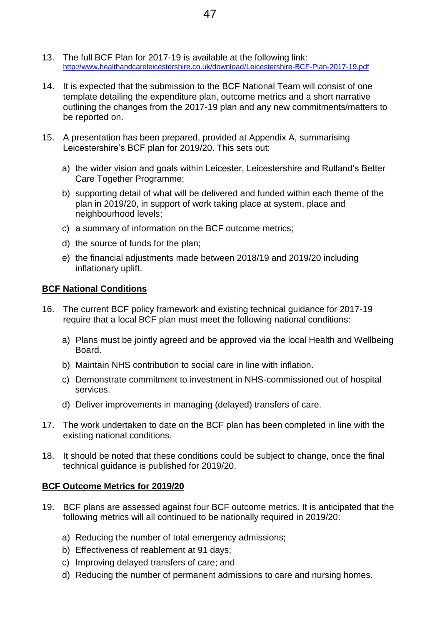- 13. The full BCF Plan for 2017-19 is available at the following link: <http://www.healthandcareleicestershire.co.uk/download/Leicestershire-BCF-Plan-2017-19.pdf>
- 14. It is expected that the submission to the BCF National Team will consist of one template detailing the expenditure plan, outcome metrics and a short narrative outlining the changes from the 2017-19 plan and any new commitments/matters to be reported on.
- 15. A presentation has been prepared, provided at Appendix A, summarising Leicestershire's BCF plan for 2019/20. This sets out:
	- a) the wider vision and goals within Leicester, Leicestershire and Rutland's Better Care Together Programme;
	- b) supporting detail of what will be delivered and funded within each theme of the plan in 2019/20, in support of work taking place at system, place and neighbourhood levels;
	- c) a summary of information on the BCF outcome metrics;
	- d) the source of funds for the plan;
	- e) the financial adjustments made between 2018/19 and 2019/20 including inflationary uplift.

### **BCF National Conditions**

- 16. The current BCF policy framework and existing technical guidance for 2017-19 require that a local BCF plan must meet the following national conditions:
	- a) Plans must be jointly agreed and be approved via the local Health and Wellbeing Board.
	- b) Maintain NHS contribution to social care in line with inflation.
	- c) Demonstrate commitment to investment in NHS-commissioned out of hospital services.
	- d) Deliver improvements in managing (delayed) transfers of care.
- 17. The work undertaken to date on the BCF plan has been completed in line with the existing national conditions.
- 18. It should be noted that these conditions could be subject to change, once the final technical guidance is published for 2019/20.

### **BCF Outcome Metrics for 2019/20**

- 19. BCF plans are assessed against four BCF outcome metrics. It is anticipated that the following metrics will all continued to be nationally required in 2019/20:
	- a) Reducing the number of total emergency admissions;
	- b) Effectiveness of reablement at 91 days;
	- c) Improving delayed transfers of care; and
	- d) Reducing the number of permanent admissions to care and nursing homes.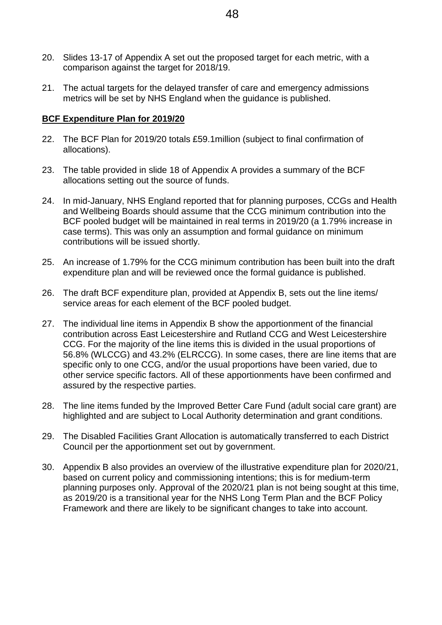- 20. Slides 13-17 of Appendix A set out the proposed target for each metric, with a comparison against the target for 2018/19.
- 21. The actual targets for the delayed transfer of care and emergency admissions metrics will be set by NHS England when the guidance is published.

### **BCF Expenditure Plan for 2019/20**

- 22. The BCF Plan for 2019/20 totals £59.1million (subject to final confirmation of allocations).
- 23. The table provided in slide 18 of Appendix A provides a summary of the BCF allocations setting out the source of funds.
- 24. In mid-January, NHS England reported that for planning purposes, CCGs and Health and Wellbeing Boards should assume that the CCG minimum contribution into the BCF pooled budget will be maintained in real terms in 2019/20 (a 1.79% increase in case terms). This was only an assumption and formal guidance on minimum contributions will be issued shortly.
- 25. An increase of 1.79% for the CCG minimum contribution has been built into the draft expenditure plan and will be reviewed once the formal guidance is published.
- 26. The draft BCF expenditure plan, provided at Appendix B, sets out the line items/ service areas for each element of the BCF pooled budget.
- 27. The individual line items in Appendix B show the apportionment of the financial contribution across East Leicestershire and Rutland CCG and West Leicestershire CCG. For the majority of the line items this is divided in the usual proportions of 56.8% (WLCCG) and 43.2% (ELRCCG). In some cases, there are line items that are specific only to one CCG, and/or the usual proportions have been varied, due to other service specific factors. All of these apportionments have been confirmed and assured by the respective parties.
- 28. The line items funded by the Improved Better Care Fund (adult social care grant) are highlighted and are subject to Local Authority determination and grant conditions.
- 29. The Disabled Facilities Grant Allocation is automatically transferred to each District Council per the apportionment set out by government.
- 30. Appendix B also provides an overview of the illustrative expenditure plan for 2020/21, based on current policy and commissioning intentions; this is for medium-term planning purposes only. Approval of the 2020/21 plan is not being sought at this time, as 2019/20 is a transitional year for the NHS Long Term Plan and the BCF Policy Framework and there are likely to be significant changes to take into account.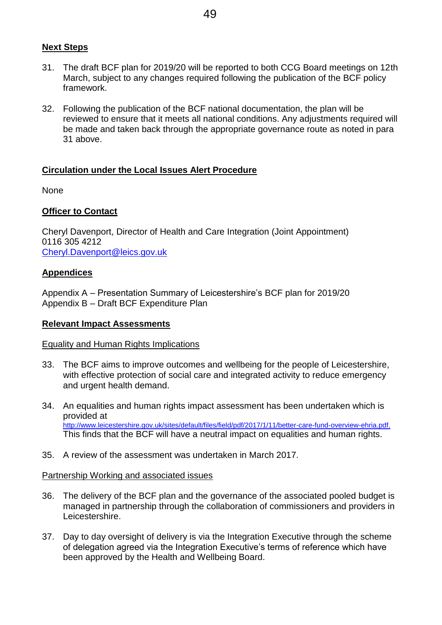#### **Next Steps**

- 31. The draft BCF plan for 2019/20 will be reported to both CCG Board meetings on 12th March, subject to any changes required following the publication of the BCF policy framework.
- 32. Following the publication of the BCF national documentation, the plan will be reviewed to ensure that it meets all national conditions. Any adjustments required will be made and taken back through the appropriate governance route as noted in para 31 above.

#### **Circulation under the Local Issues Alert Procedure**

None

#### **Officer to Contact**

Cheryl Davenport, Director of Health and Care Integration (Joint Appointment) 0116 305 4212 [Cheryl.Davenport@leics.gov.uk](mailto:Cheryl.Davenport@leics.gov.uk)

#### **Appendices**

Appendix A – Presentation Summary of Leicestershire's BCF plan for 2019/20 Appendix B – Draft BCF Expenditure Plan

#### **Relevant Impact Assessments**

#### Equality and Human Rights Implications

- 33. The BCF aims to improve outcomes and wellbeing for the people of Leicestershire, with effective protection of social care and integrated activity to reduce emergency and urgent health demand.
- 34. An equalities and human rights impact assessment has been undertaken which is provided at [http://www.leicestershire.gov.uk/sites/default/files/field/pdf/2017/1/11/better-care-fund-overview-ehria.pdf.](http://www.leicestershire.gov.uk/sites/default/files/field/pdf/2017/1/11/better-care-fund-overview-ehria.pdf) This finds that the BCF will have a neutral impact on equalities and human rights.
- 35. A review of the assessment was undertaken in March 2017.

#### Partnership Working and associated issues

- 36. The delivery of the BCF plan and the governance of the associated pooled budget is managed in partnership through the collaboration of commissioners and providers in Leicestershire.
- 37. Day to day oversight of delivery is via the Integration Executive through the scheme of delegation agreed via the Integration Executive's terms of reference which have been approved by the Health and Wellbeing Board.